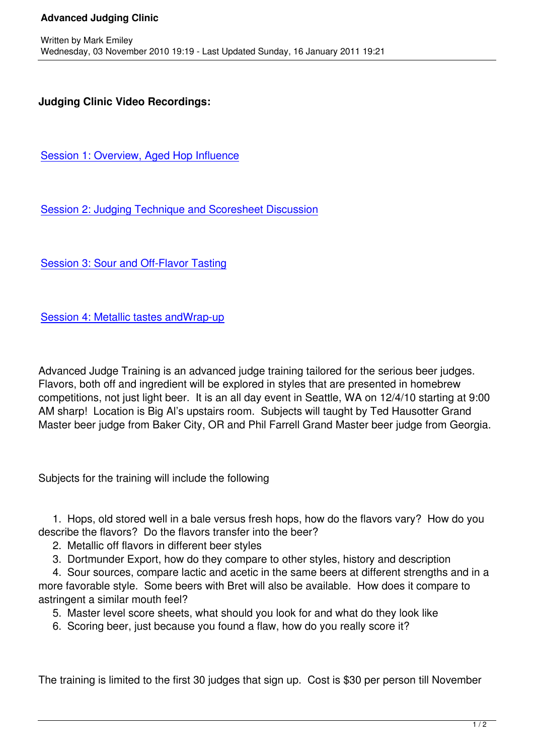## **Judging Clinic Video Recordings:**

Session 1: Overview, Aged Hop Influence

[Session 2: Judging Technique and Scores](http://www.ustream.tv/recorded/11248462)heet Discussion

[Session 3: Sour and Off-Flavor Tasting](http://www.ustream.tv/recorded/11250017)

[Session 4: Metallic tastes andWrap-up](http://www.ustream.tv/recorded/11253295)

[Advanced Judge Training is an advance](http://www.ustream.tv/recorded/11254937)d judge training tailored for the serious beer judges. Flavors, both off and ingredient will be explored in styles that are presented in homebrew competitions, not just light beer. It is an all day event in Seattle, WA on 12/4/10 starting at 9:00 AM sharp! Location is Big Al's upstairs room. Subjects will taught by Ted Hausotter Grand Master beer judge from Baker City, OR and Phil Farrell Grand Master beer judge from Georgia.

Subjects for the training will include the following

 1. Hops, old stored well in a bale versus fresh hops, how do the flavors vary? How do you describe the flavors? Do the flavors transfer into the beer?

- 2. Metallic off flavors in different beer styles
- 3. Dortmunder Export, how do they compare to other styles, history and description

 4. Sour sources, compare lactic and acetic in the same beers at different strengths and in a more favorable style. Some beers with Bret will also be available. How does it compare to astringent a similar mouth feel?

5. Master level score sheets, what should you look for and what do they look like

6. Scoring beer, just because you found a flaw, how do you really score it?

The training is limited to the first 30 judges that sign up. Cost is \$30 per person till November